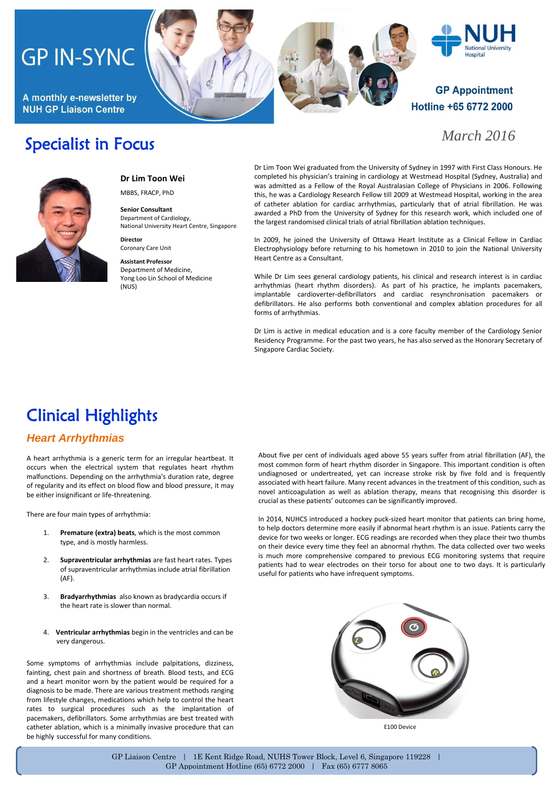# **GP IN-SYNC**

A monthly e-newsletter by **NUH GP Liaison Centre** 





### **GP Appointment** Hotline +65 6772 2000

*March 2016*

### Specialist in Focus



**Dr Lim Toon Wei** MBBS, FRACP, PhD

**Senior Consultant** Department of Cardiology, National University Heart Centre, Singapore

**Director** Coronary Care Unit

**Assistant Professor** Department of Medicine, Yong Loo Lin School of Medicine (NUS)

Dr Lim Toon Wei graduated from the University of Sydney in 1997 with First Class Honours. He completed his physician's training in cardiology at Westmead Hospital (Sydney, Australia) and was admitted as a Fellow of the Royal Australasian College of Physicians in 2006. Following this, he was a Cardiology Research Fellow till 2009 at Westmead Hospital, working in the area of catheter ablation for cardiac arrhythmias, particularly that of atrial fibrillation. He was awarded a PhD from the University of Sydney for this research work, which included one of the largest randomised clinical trials of atrial fibrillation ablation techniques.

In 2009, he joined the University of Ottawa Heart Institute as a Clinical Fellow in Cardiac Electrophysiology before returning to his hometown in 2010 to join the National University Heart Centre as a Consultant.

While Dr Lim sees general cardiology patients, his clinical and research interest is in cardiac arrhythmias (heart rhythm disorders). As part of his practice, he implants pacemakers, implantable cardioverter-defibrillators and cardiac resynchronisation pacemakers or defibrillators. He also performs both conventional and complex ablation procedures for all forms of arrhythmias.

Dr Lim is active in medical education and is a core faculty member of the Cardiology Senior Residency Programme. For the past two years, he has also served as the Honorary Secretary of Singapore Cardiac Society.

## Clinical Highlights

#### *Heart Arrhythmias*

A heart arrhythmia is a generic term for an irregular heartbeat. It occurs when the electrical system that regulates heart rhythm malfunctions. Depending on the arrhythmia's duration rate, degree of regularity and its effect on blood flow and blood pressure, it may be either insignificant or life-threatening.

There are four main types of arrhythmia:

- 1. **Premature (extra) beats**, which is the most common type, and is mostly harmless.
- 2. **Supraventricular arrhythmias** are fast heart rates. Types of supraventricular arrhythmias include atrial fibrillation (AF).
- 3. **Bradyarrhythmias** also known as bradycardia occurs if the heart rate is slower than normal.
- 4. **Ventricular arrhythmias** begin in the ventricles and can be very dangerous.

Some symptoms of arrhythmias include palpitations, dizziness, fainting, chest pain and shortness of breath. Blood tests, and ECG and a heart monitor worn by the patient would be required for a diagnosis to be made. There are various treatment methods ranging from lifestyle changes, medications which help to control the heart rates to surgical procedures such as the implantation of pacemakers, defibrillators. Some arrhythmias are best treated with catheter ablation, which is a minimally invasive procedure that can be highly successful for many conditions.

About five per cent of individuals aged above 55 years suffer from atrial fibrillation (AF), the most common form of heart rhythm disorder in Singapore. This important condition is often undiagnosed or undertreated, yet can increase stroke risk by five fold and is frequently associated with heart failure. Many recent advances in the treatment of this condition, such as novel anticoagulation as well as ablation therapy, means that recognising this disorder is crucial as these patients' outcomes can be significantly improved.

In 2014, NUHCS introduced a hockey puck-sized heart monitor that patients can bring home, to help doctors determine more easily if abnormal heart rhythm is an issue. Patients carry the device for two weeks or longer. ECG readings are recorded when they place their two thumbs on their device every time they feel an abnormal rhythm. The data collected over two weeks is much more comprehensive compared to previous ECG monitoring systems that require patients had to wear electrodes on their torso for about one to two days. It is particularly useful for patients who have infrequent symptoms.



E100 Device

GP Liaison Centre | 1E Kent Ridge Road, NUHS Tower Block, Level 6, Singapore 119228 | GP Appointment Hotline (65) 6772 2000 | Fax (65) 6777 8065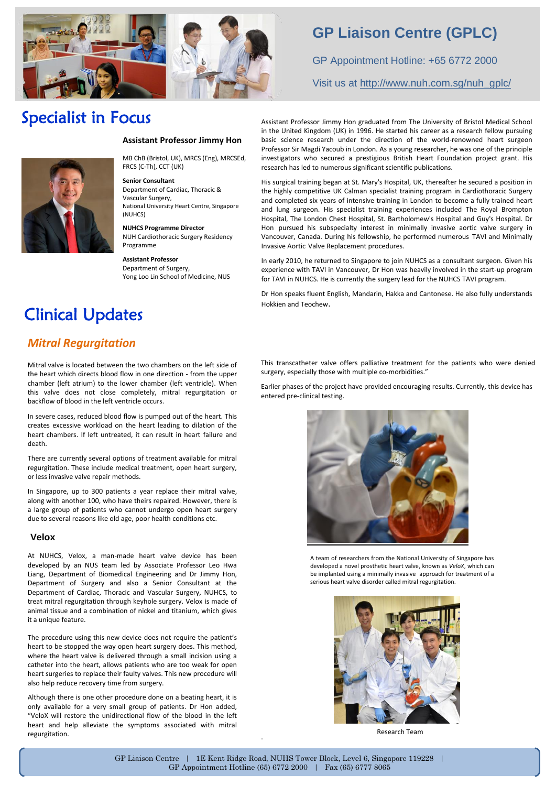

### **GP Liaison Centre (GPLC)**

GP Appointment Hotline: +65 6772 2000

Visit us at [http://www.nuh.com.sg/nuh\\_gplc/](http://www.nuh.com.sg/nuh_gplc/)

### Specialist in Focus

#### **Assistant Professor Jimmy Hon**

MB ChB (Bristol, UK), MRCS (Eng), MRCSEd, FRCS (C-Th), CCT (UK)

#### **Senior Consultant**

Department of Cardiac, Thoracic & Vascular Surgery, National University Heart Centre, Singapore (NUHCS)

**NUHCS Programme Director**  NUH Cardiothoracic Surgery Residency Programme

**Assistant Professor** Department of Surgery, Yong Loo Lin School of Medicine, NUS

### Clinical Updates

### *Mitral Regurgitation*

Mitral valve is located between the two chambers on the left side of the heart which directs blood flow in one direction - from the upper chamber (left atrium) to the lower chamber (left ventricle). When this valve does not close completely, mitral regurgitation or backflow of blood in the left ventricle occurs.

In severe cases, reduced blood flow is pumped out of the heart. This creates excessive workload on the heart leading to dilation of the heart chambers. If left untreated, it can result in heart failure and death.

There are currently several options of treatment available for mitral regurgitation. These include medical treatment, open heart surgery, or less invasive valve repair methods.

In Singapore, up to 300 patients a year replace their mitral valve, along with another 100, who have theirs repaired. However, there is a large group of patients who cannot undergo open heart surgery due to several reasons like old age, poor health conditions etc.

#### **Velox**

At NUHCS, Velox, a man-made heart valve device has been developed by an NUS team led by Associate Professor Leo Hwa Liang, Department of Biomedical Engineering and Dr Jimmy Hon, Department of Surgery and also a Senior Consultant at the Department of Cardiac, Thoracic and Vascular Surgery, NUHCS, to treat mitral regurgitation through keyhole surgery. Velox is made of animal tissue and a combination of nickel and titanium, which gives it a unique feature.

The procedure using this new device does not require the patient's heart to be stopped the way open heart surgery does. This method, where the heart valve is delivered through a small incision using a catheter into the heart, allows patients who are too weak for open heart surgeries to replace their faulty valves. This new procedure will also help reduce recovery time from surgery.

Although there is one other procedure done on a beating heart, it is only available for a very small group of patients. Dr Hon added, "VeloX will restore the unidirectional flow of the blood in the left heart and help alleviate the symptoms associated with mitral regurgitation.

Assistant Professor Jimmy Hon graduated from The University of Bristol Medical School in the United Kingdom (UK) in 1996. He started his career as a research fellow pursuing basic science research under the direction of the world-renowned heart surgeon Professor Sir Magdi Yacoub in London. As a young researcher, he was one of the principle investigators who secured a prestigious British Heart Foundation project grant. His research has led to numerous significant scientific publications.

His surgical training began at St. Mary's Hospital, UK, thereafter he secured a position in the highly competitive UK Calman specialist training program in Cardiothoracic Surgery and completed six years of intensive training in London to become a fully trained heart and lung surgeon. His specialist training experiences included The Royal Brompton Hospital, The London Chest Hospital, St. Bartholomew's Hospital and Guy's Hospital. Dr Hon pursued his subspecialty interest in minimally invasive aortic valve surgery in Vancouver, Canada. During his fellowship, he performed numerous TAVI and Minimally Invasive Aortic Valve Replacement procedures.

In early 2010, he returned to Singapore to join NUHCS as a consultant surgeon. Given his experience with TAVI in Vancouver, Dr Hon was heavily involved in the start-up program for TAVI in NUHCS. He is currently the surgery lead for the NUHCS TAVI program.

Dr Hon speaks fluent English, Mandarin, Hakka and Cantonese. He also fully understands Hokkien and Teochew.

This transcatheter valve offers palliative treatment for the patients who were denied surgery, especially those with multiple co-morbidities."

Earlier phases of the project have provided encouraging results. Currently, this device has entered pre-clinical testing.



A team of researchers from the National University of Singapore has developed a novel prosthetic heart valve, known as *VeloX*, which can be implanted using a minimally invasive approach for treatment of a serious heart valve disorder called mitral regurgitation.



Research Team

.